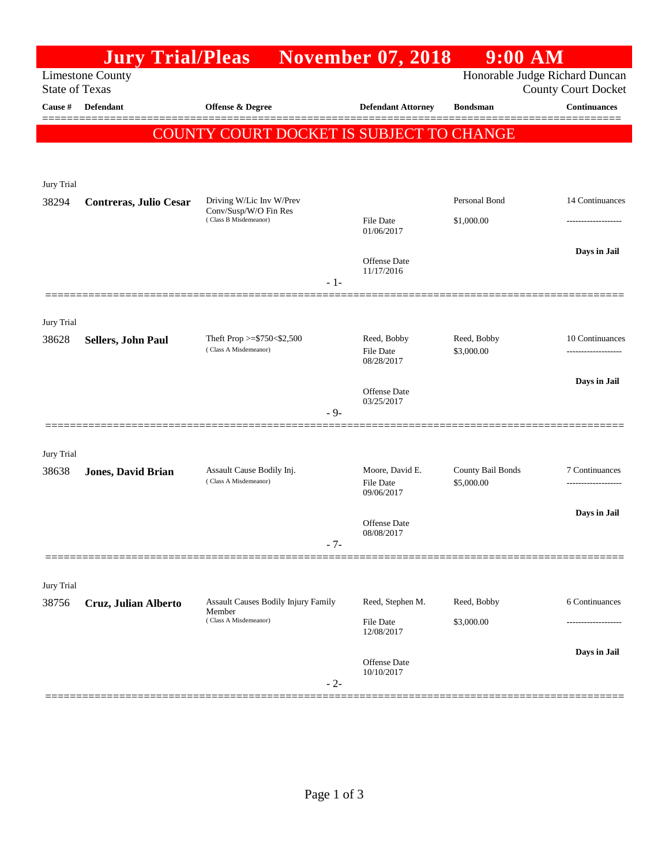|                       | <b>Jury Trial/Pleas</b>   |                                                                               | <b>November 07, 2018</b>                                     | 9:00 AM                         |                                       |
|-----------------------|---------------------------|-------------------------------------------------------------------------------|--------------------------------------------------------------|---------------------------------|---------------------------------------|
| <b>State of Texas</b> | <b>Limestone County</b>   |                                                                               | Honorable Judge Richard Duncan<br><b>County Court Docket</b> |                                 |                                       |
| Cause #               | Defendant                 | Offense & Degree                                                              | <b>Defendant Attorney</b>                                    | <b>Bondsman</b>                 | <b>Continuances</b>                   |
|                       |                           | COUNTY COURT DOCKET IS SUBJECT TO CHANGE                                      |                                                              |                                 |                                       |
| Jury Trial            |                           |                                                                               |                                                              | Personal Bond                   |                                       |
| 38294                 | Contreras, Julio Cesar    | Driving W/Lic Inv W/Prev<br>Conv/Susp/W/O Fin Res<br>(Class B Misdemeanor)    | <b>File Date</b><br>01/06/2017                               | \$1,000.00                      | 14 Continuances                       |
|                       |                           |                                                                               | Offense Date<br>11/17/2016<br>$-1-$                          |                                 | Days in Jail                          |
| Jury Trial            |                           | Theft Prop $>=$ \$750 < \$2,500                                               | Reed, Bobby                                                  | Reed, Bobby                     | 10 Continuances                       |
| 38628                 | Sellers, John Paul        | (Class A Misdemeanor)                                                         | <b>File Date</b><br>08/28/2017                               | \$3,000.00                      |                                       |
|                       |                           |                                                                               | <b>Offense Date</b><br>03/25/2017<br>$-9-$                   |                                 | Days in Jail                          |
| Jury Trial            |                           |                                                                               |                                                              |                                 |                                       |
| 38638                 | <b>Jones, David Brian</b> | Assault Cause Bodily Inj.<br>(Class A Misdemeanor)                            | Moore, David E.<br>File Date<br>09/06/2017                   | County Bail Bonds<br>\$5,000.00 | 7 Continuances<br>------------------- |
|                       |                           |                                                                               | Offense Date<br>08/08/2017<br>$-7-$                          |                                 | Days in Jail                          |
| Jury Trial            |                           |                                                                               |                                                              |                                 |                                       |
| 38756                 | Cruz, Julian Alberto      | <b>Assault Causes Bodily Injury Family</b><br>Member<br>(Class A Misdemeanor) | Reed, Stephen M.<br><b>File Date</b>                         | Reed, Bobby<br>\$3,000.00       | 6 Continuances                        |
|                       |                           |                                                                               | 12/08/2017<br>Offense Date<br>10/10/2017<br>$-2-$            |                                 | Days in Jail                          |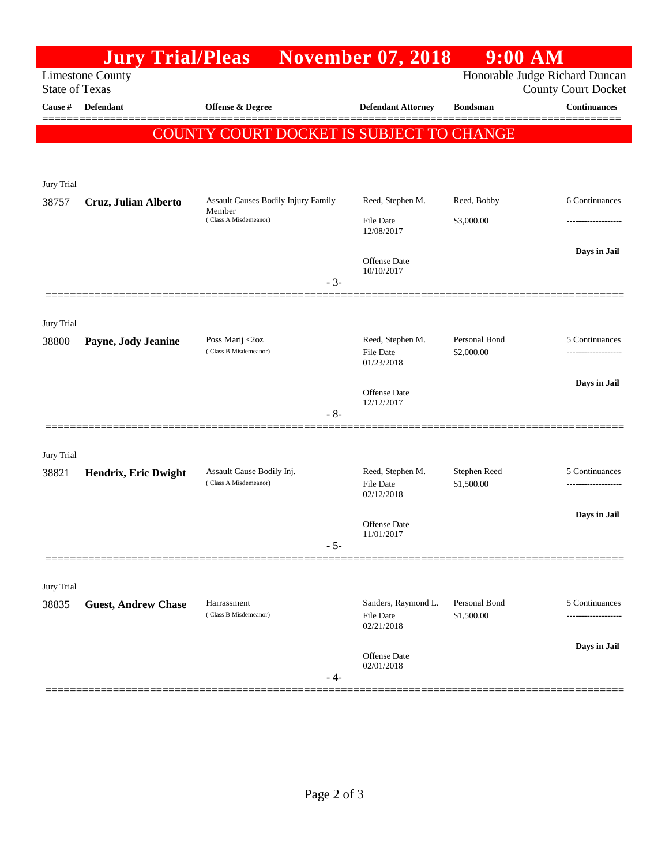|                       | <b>Jury Trial/Pleas</b>    |                                                                        | <b>November 07, 2018</b>       |                             | $9:00$ AM                                                    |
|-----------------------|----------------------------|------------------------------------------------------------------------|--------------------------------|-----------------------------|--------------------------------------------------------------|
| <b>State of Texas</b> | <b>Limestone County</b>    |                                                                        |                                |                             | Honorable Judge Richard Duncan<br><b>County Court Docket</b> |
| Cause $\#$            | <b>Defendant</b>           | Offense & Degree                                                       | <b>Defendant Attorney</b>      | <b>Bondsman</b>             | <b>Continuances</b>                                          |
|                       |                            |                                                                        |                                |                             |                                                              |
|                       |                            | <b>COUNTY COURT DOCKET IS SUBJECT TO CHANGE</b>                        |                                |                             |                                                              |
|                       |                            |                                                                        |                                |                             |                                                              |
| Jury Trial            |                            |                                                                        |                                |                             |                                                              |
| 38757                 | Cruz, Julian Alberto       | Assault Causes Bodily Injury Family<br>Member<br>(Class A Misdemeanor) | Reed, Stephen M.               | Reed, Bobby                 | 6 Continuances                                               |
|                       |                            |                                                                        | <b>File Date</b><br>12/08/2017 | \$3,000.00                  |                                                              |
|                       |                            |                                                                        | Offense Date                   |                             | Days in Jail                                                 |
|                       |                            | $-3-$                                                                  | 10/10/2017                     |                             |                                                              |
|                       |                            |                                                                        |                                |                             |                                                              |
| Jury Trial            |                            |                                                                        |                                |                             |                                                              |
| 38800                 | Payne, Jody Jeanine        | Poss Marij <2oz                                                        | Reed, Stephen M.               | Personal Bond               | 5 Continuances                                               |
|                       |                            | (Class B Misdemeanor)                                                  | File Date<br>01/23/2018        | \$2,000.00                  |                                                              |
|                       |                            |                                                                        |                                |                             | Days in Jail                                                 |
|                       |                            |                                                                        | Offense Date<br>12/12/2017     |                             |                                                              |
|                       |                            | $-8-$                                                                  |                                |                             |                                                              |
| Jury Trial            |                            |                                                                        |                                |                             |                                                              |
| 38821                 | Hendrix, Eric Dwight       | Assault Cause Bodily Inj.                                              | Reed, Stephen M.               | Stephen Reed                | 5 Continuances                                               |
|                       |                            | (Class A Misdemeanor)                                                  | <b>File Date</b><br>02/12/2018 | \$1,500.00                  |                                                              |
|                       |                            |                                                                        |                                |                             | Days in Jail                                                 |
|                       |                            |                                                                        | Offense Date<br>11/01/2017     |                             |                                                              |
|                       |                            | $-5-$                                                                  |                                |                             |                                                              |
| Jury Trial            |                            |                                                                        |                                |                             |                                                              |
| 38835                 | <b>Guest, Andrew Chase</b> | Harrassment<br>(Class B Misdemeanor)                                   | Sanders, Raymond L.            | Personal Bond<br>\$1,500.00 | 5 Continuances                                               |
|                       |                            |                                                                        | File Date<br>02/21/2018        |                             |                                                              |
|                       |                            |                                                                        |                                |                             | Days in Jail                                                 |
|                       |                            |                                                                        | Offense Date<br>02/01/2018     |                             |                                                              |
|                       |                            | - 4-                                                                   |                                |                             |                                                              |